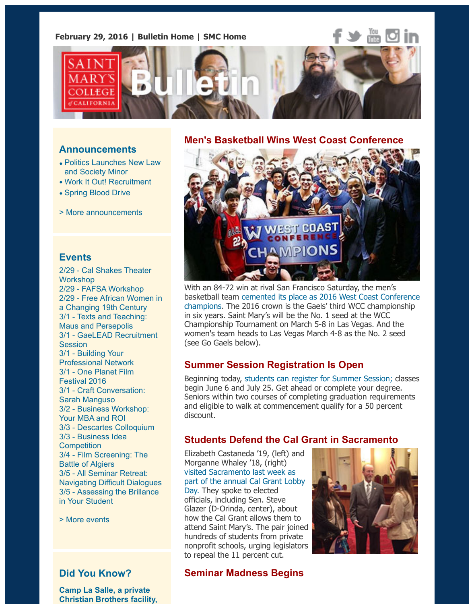

### **Announcements**

- Politics Launches New Law and Society Minor
- Work It Out! Recruitment
- Spring Blood Drive
- > More announcements

### **[Events](https://www.stmarys-ca.edu/politics-launches-new-law-and-society-minor?utm_source=Bulletin&utm_medium=email&utm_content=announcement_test&utm_campaign=02-29-2016)**

2[/29 - Cal Shakes Th](https://www.stmarys-ca.edu/spring-blood-drive?utm_source=Bulletin&utm_medium=email&utm_content=announcement_test&utm_campaign=02-29-2016)[eater](https://www.stmarys-ca.edu/work-it-out-recruitment?utm_source=Bulletin&utm_medium=email&utm_content=announcement_test&utm_campaign=02-29-2016) **Workshop** 2/29 - FAFSA Workshop 2/29 [- Free African Wom](http://www.stmarys-ca.edu/smc-bulletin/announcements?utm_source=Bulletin&utm_medium=email&utm_content=announcement_test&utm_campaign=02-29-2016)en in a Changing 19th Century 3/1 - Texts and Teaching: Maus and Persepolis 3/1 - GaeLEAD Recruitment **Session** 3/1 - Building Your [Professional Network](http://www.stmarys-ca.edu/seminar-103-calshakes-theater-workshop-measure-for-measure?utm_source=Bulletin&utm_medium=email&utm_content=event_test&utm_campaign=02-29-2016) 3/1 - [One Planet Film](http://www.stmarys-ca.edu/file-your-fafsa-0?utm_source=Bulletin&utm_medium=email&utm_content=event_test&utm_campaign=02-29-2016) Festival 2016 [3/1 - Craft Conversation:](http://www.stmarys-ca.edu/traveling-in-the-south-atlantic-world-free-african-women-in-a-changing-19th-century?utm_source=Bulletin&utm_medium=email&utm_content=event_test&utm_campaign=02-29-2016) Sarah Manguso [3/2 - Business Workshop:](http://www.stmarys-ca.edu/texts-teaching-maus-persepolis-sem-1-104?utm_source=Bulletin&utm_medium=email&utm_content=event_test&utm_campaign=02-29-2016) Your MBA and ROI [3/3 - Descartes Colloquium](http://www.stmarys-ca.edu/gaelead-recruitment-sessions?utm_source=Bulletin&utm_medium=email&utm_content=event_test&utm_campaign=02-29-2016) [3/3 - Business Idea](http://www.stmarys-ca.edu/career-gateway-building-your-professional-network-sponsored-by-target?utm_source=Bulletin&utm_medium=email&utm_content=event_test&utm_campaign=02-29-2016) **Competition** [3/4 - Film Screening:](http://www.stmarys-ca.edu/one-planet-film-festival-2016?utm_source=Bulletin&utm_medium=email&utm_content=event_test&utm_campaign=02-29-2016) The Battle of Algiers [3/5 - All Seminar Retreat](http://www.stmarys-ca.edu/afternoon-craft-conversation-with-sarah-manguso?utm_source=Bulletin&utm_medium=email&utm_content=event_test&utm_campaign=02-29-2016): Navigating Difficult Dialogues [3/5 - Assessing the Brillan](http://www.stmarys-ca.edu/graduate-business-prospective-students-career-management-workshop-your-mba-and-roi?utm_source=Bulletin&utm_medium=email&utm_content=event_test&utm_campaign=02-29-2016)ce in Yo[ur Student](http://www.stmarys-ca.edu/descartes-colloquium-questions-of-truth-and-prejudice-in-the-discourse-on-method-seminar-103?utm_source=Bulletin&utm_medium=email&utm_content=event_test&utm_campaign=02-29-2016)

[> More events](http://www.stmarys-ca.edu/business-idea-competition?utm_source=Bulletin&utm_medium=email&utm_content=event_test&utm_campaign=02-29-2016)

# **[Did You Know?](http://www.stmarys-ca.edu/dr-juan-carlos-arauz-education-excellence-equality-assessing-the-brillance-in-your-student?utm_source=Bulletin&utm_medium=email&utm_content=event_test&utm_campaign=02-29-2016)**

**Camp La Salle, a private [Christian Brot](http://www.stmarys-ca.edu/events?utm_source=Bulletin&utm_medium=email&utm_content=event_test&utm_campaign=02-29-2016)hers facility,**

### **Men's Basketball Wins West Coast Conference**



With an 84-72 win at rival San Francisco Saturday, the men's basketball team cemented its place as 2016 West Coast Confer champions. The 2016 crown is the Gaels' third WCC champions in six years. Saint Mary's will be the No. 1 seed at the WCC Championship Tournament on March 5-8 in Las Vegas. And the women's team heads to Las Vegas March 4-8 as the No. 2 seed (see Go Gaels below).

## **Summer Session Registration Is Open**

[Beginning today, students can register for Summer Session; classes](http://www.smcgaels.com/ViewArticle.dbml?DB_OEM_ID=21400&ATCLID=210754625) begin June 6 and July 25. Get ahead or complete your degree. Seniors within two courses of completing graduation requirement and eligible to walk at commencement qualify for a 50 percent discount.

## **Students Defend the Cal Grant in Sacramento**

Elizabeth Castaneda '19, (left) and Morganne Whale[y '18, \(right\)](http://www.stmarys-ca.edu/academics/undergraduate/summer-session?utm_source=Bulletin&utm_medium=email&utm_content=feature_test&utm_campaign=02-29-2016) visited Sacramento last week as part of the annual Cal Grant Lobby Day. They spoke to elected officials, including Sen. Steve Glazer (D-Orinda, center), about how the Cal Grant allows them to attend Saint Mary's. The pair joined hundreds of students from private nonprofit schools, urging legislators to repeal the 11 percent cut.



# **[Seminar Madness Begins](http://www.stmarys-ca.edu/students-defend-the-cal-grant-in-sacramento?utm_source=Bulletin&utm_medium=email&utm_content=feature_test&utm_campaign=02-29-2016)**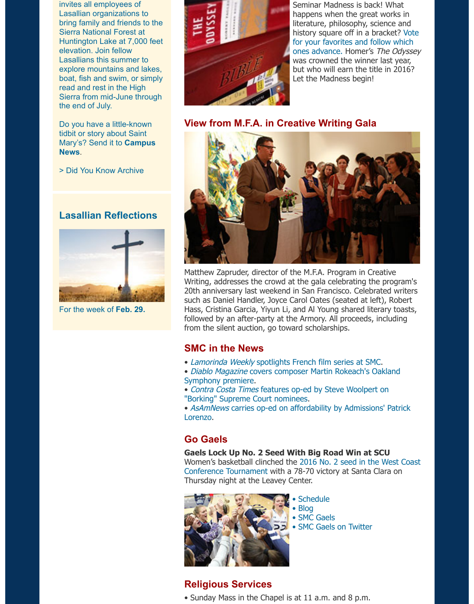read and rest in the High Sierra from mid-June through the end of July.

Do you have a little-known tidbit or story about Saint Mary's? Send it to **Campus News**.

> Did You Know Archive

## **Lasallian Reflections**



For the week of **Feb. 29.**



**View from M.F.A. in Cr[eative Writing Gala](http://www.stmarys-ca.edu/news-and-events/seminar-madness?utm_source=Bulletin&utm_medium=email&utm_content=feature_test&utm_campaign=02-29-2016)**



Matthew Zapruder, director of the M.F.A. Program in Creative Writing, addresses the crowd at the gala celebrating the program 20th anniversary last weekend in San Francisco. Celebrated wr such as Daniel Handler, Joyce Carol Oates (seated at left), Rob Hass, Cristina Garcia, Yiyun Li, and Al Young shared literary toa followed by an after-party at the Armory. All proceeds, includin from the silent auction, go toward scholarships.

# **SMC in the News**

- Lamorinda Weekly spotlights French film series at SMC.
- Diablo Magazine covers composer Martin Rokeach's Oakland Symphony premiere.
- Contra Costa Times features op-ed by Steve Woolpert on "Borking" Supreme Court nominees.

• AsAmNews carries op-ed on affordability by Admissions' Patri Lorenzo.

# **[Go Gaels](https://www.stmarys-ca.edu/lamorinda-weekly-spotlights-french-film-series-at-smc?utm_source=Bulletin&utm_medium=email&utm_content=feature_test&utm_campaign=02-29-2016)**

#### **Gaels Lock Up No. 2 Seed With Big Road Win at SCU**

Women's basketball clinched the 2016 No. 2 seed in the West [Conference Tournament with a 78-70 victory at Santa Clara](https://www.stmarys-ca.edu/contra-costa-times-features-op-ed-by-steve-woolpert-on-borking-supreme-court-nominees?utm_source=Bulletin&utm_medium=email&utm_content=feature_test&utm_campaign=02-29-2016) on Thursday night at the Leavey Center.



- [Schedule](https://www.stmarys-ca.edu/asamnews-carries-oped-on-affordability-by-admissions-patrick-lorenzo?utm_source=Bulletin&utm_medium=email&utm_content=feature_test&utm_campaign=02-29-2016)
- Blog
- SMC Gaels
- SMC Gaels on Twitter

# **Religious Services**

• Sunday Mass in the Chapel is [at 11 a.m. a](http://www.smcgaels.com/)nd 8 p.m.